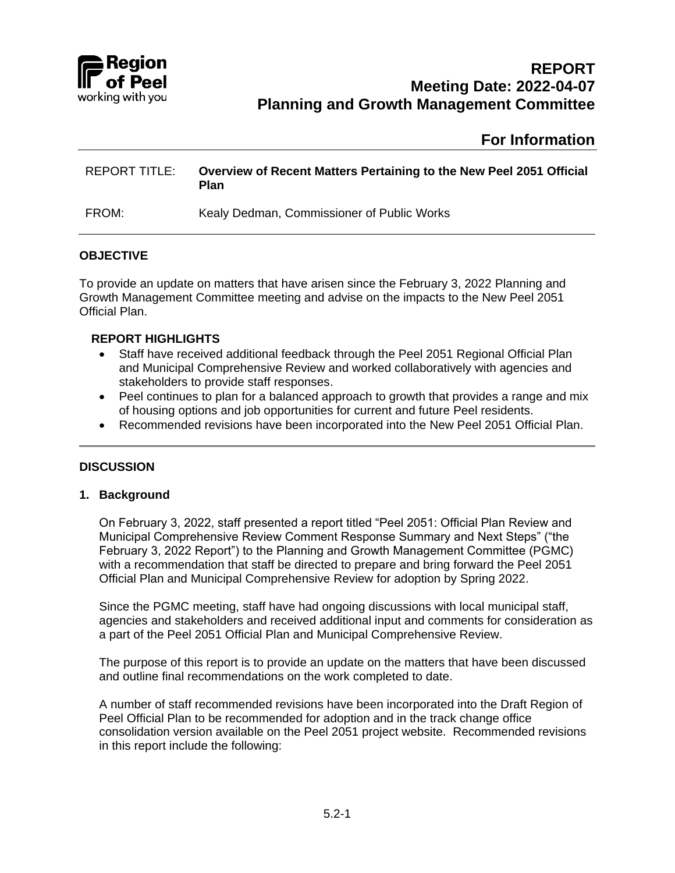

# **For Information**

| <b>REPORT TITLE:</b> | <b>Overview of Recent Matters Pertaining to the New Peel 2051 Official</b><br>Plan |
|----------------------|------------------------------------------------------------------------------------|
| FROM:                | Kealy Dedman, Commissioner of Public Works                                         |

# **OBJECTIVE**

To provide an update on matters that have arisen since the February 3, 2022 Planning and Growth Management Committee meeting and advise on the impacts to the New Peel 2051 Official Plan.

#### **REPORT HIGHLIGHTS**

- Staff have received additional feedback through the Peel 2051 Regional Official Plan and Municipal Comprehensive Review and worked collaboratively with agencies and stakeholders to provide staff responses.
- Peel continues to plan for a balanced approach to growth that provides a range and mix of housing options and job opportunities for current and future Peel residents.
- Recommended revisions have been incorporated into the New Peel 2051 Official Plan.

# **DISCUSSION**

#### **1. Background**

On February 3, 2022, staff presented a report titled "Peel 2051: Official Plan Review and Municipal Comprehensive Review Comment Response Summary and Next Steps" ("the February 3, 2022 Report") to the Planning and Growth Management Committee (PGMC) with a recommendation that staff be directed to prepare and bring forward the Peel 2051 Official Plan and Municipal Comprehensive Review for adoption by Spring 2022.

Since the PGMC meeting, staff have had ongoing discussions with local municipal staff, agencies and stakeholders and received additional input and comments for consideration as a part of the Peel 2051 Official Plan and Municipal Comprehensive Review.

The purpose of this report is to provide an update on the matters that have been discussed and outline final recommendations on the work completed to date.

A number of staff recommended revisions have been incorporated into the Draft Region of Peel Official Plan to be recommended for adoption and in the track change office consolidation version available on the Peel 2051 project website. Recommended revisions in this report include the following: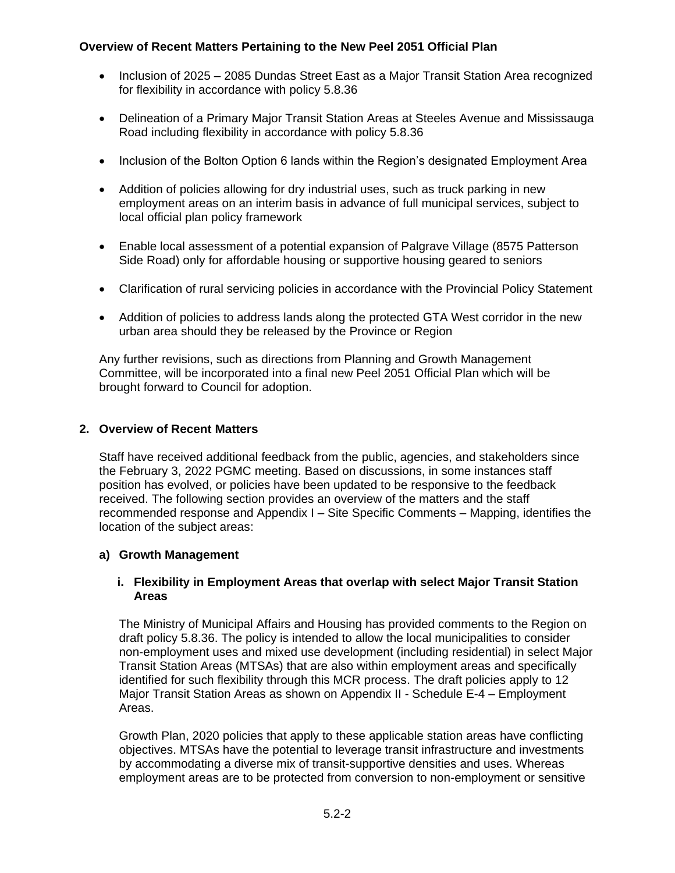- Inclusion of 2025 2085 Dundas Street East as a Major Transit Station Area recognized for flexibility in accordance with policy 5.8.36
- Delineation of a Primary Major Transit Station Areas at Steeles Avenue and Mississauga Road including flexibility in accordance with policy 5.8.36
- Inclusion of the Bolton Option 6 lands within the Region's designated Employment Area
- Addition of policies allowing for dry industrial uses, such as truck parking in new employment areas on an interim basis in advance of full municipal services, subject to local official plan policy framework
- Enable local assessment of a potential expansion of Palgrave Village (8575 Patterson Side Road) only for affordable housing or supportive housing geared to seniors
- Clarification of rural servicing policies in accordance with the Provincial Policy Statement
- Addition of policies to address lands along the protected GTA West corridor in the new urban area should they be released by the Province or Region

Any further revisions, such as directions from Planning and Growth Management Committee, will be incorporated into a final new Peel 2051 Official Plan which will be brought forward to Council for adoption.

# **2. Overview of Recent Matters**

Staff have received additional feedback from the public, agencies, and stakeholders since the February 3, 2022 PGMC meeting. Based on discussions, in some instances staff position has evolved, or policies have been updated to be responsive to the feedback received. The following section provides an overview of the matters and the staff recommended response and Appendix I – Site Specific Comments – Mapping, identifies the location of the subject areas:

# **a) Growth Management**

# **i. Flexibility in Employment Areas that overlap with select Major Transit Station Areas**

The Ministry of Municipal Affairs and Housing has provided comments to the Region on draft policy 5.8.36. The policy is intended to allow the local municipalities to consider non-employment uses and mixed use development (including residential) in select Major Transit Station Areas (MTSAs) that are also within employment areas and specifically identified for such flexibility through this MCR process. The draft policies apply to 12 Major Transit Station Areas as shown on Appendix II - Schedule E-4 – Employment Areas.

Growth Plan, 2020 policies that apply to these applicable station areas have conflicting objectives. MTSAs have the potential to leverage transit infrastructure and investments by accommodating a diverse mix of transit-supportive densities and uses. Whereas employment areas are to be protected from conversion to non-employment or sensitive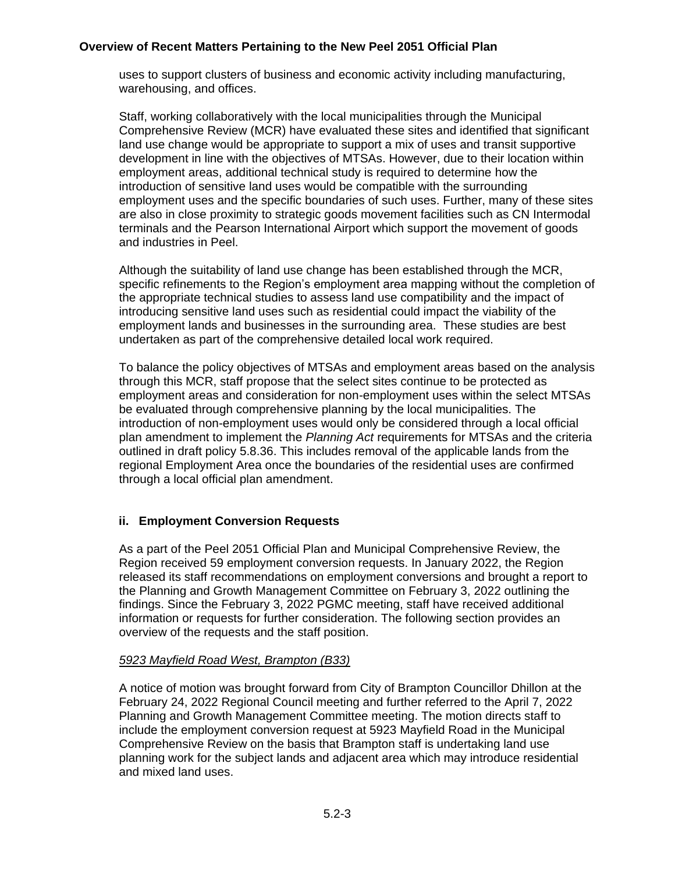uses to support clusters of business and economic activity including manufacturing, warehousing, and offices.

Staff, working collaboratively with the local municipalities through the Municipal Comprehensive Review (MCR) have evaluated these sites and identified that significant land use change would be appropriate to support a mix of uses and transit supportive development in line with the objectives of MTSAs. However, due to their location within employment areas, additional technical study is required to determine how the introduction of sensitive land uses would be compatible with the surrounding employment uses and the specific boundaries of such uses. Further, many of these sites are also in close proximity to strategic goods movement facilities such as CN Intermodal terminals and the Pearson International Airport which support the movement of goods and industries in Peel.

Although the suitability of land use change has been established through the MCR, specific refinements to the Region's employment area mapping without the completion of the appropriate technical studies to assess land use compatibility and the impact of introducing sensitive land uses such as residential could impact the viability of the employment lands and businesses in the surrounding area. These studies are best undertaken as part of the comprehensive detailed local work required.

To balance the policy objectives of MTSAs and employment areas based on the analysis through this MCR, staff propose that the select sites continue to be protected as employment areas and consideration for non-employment uses within the select MTSAs be evaluated through comprehensive planning by the local municipalities. The introduction of non-employment uses would only be considered through a local official plan amendment to implement the *Planning Act* requirements for MTSAs and the criteria outlined in draft policy 5.8.36. This includes removal of the applicable lands from the regional Employment Area once the boundaries of the residential uses are confirmed through a local official plan amendment.

# **ii. Employment Conversion Requests**

As a part of the Peel 2051 Official Plan and Municipal Comprehensive Review, the Region received 59 employment conversion requests. In January 2022, the Region released its staff recommendations on employment conversions and brought a report to the Planning and Growth Management Committee on February 3, 2022 outlining the findings. Since the February 3, 2022 PGMC meeting, staff have received additional information or requests for further consideration. The following section provides an overview of the requests and the staff position.

# *5923 Mayfield Road West, Brampton (B33)*

A notice of motion was brought forward from City of Brampton Councillor Dhillon at the February 24, 2022 Regional Council meeting and further referred to the April 7, 2022 Planning and Growth Management Committee meeting. The motion directs staff to include the employment conversion request at 5923 Mayfield Road in the Municipal Comprehensive Review on the basis that Brampton staff is undertaking land use planning work for the subject lands and adjacent area which may introduce residential and mixed land uses.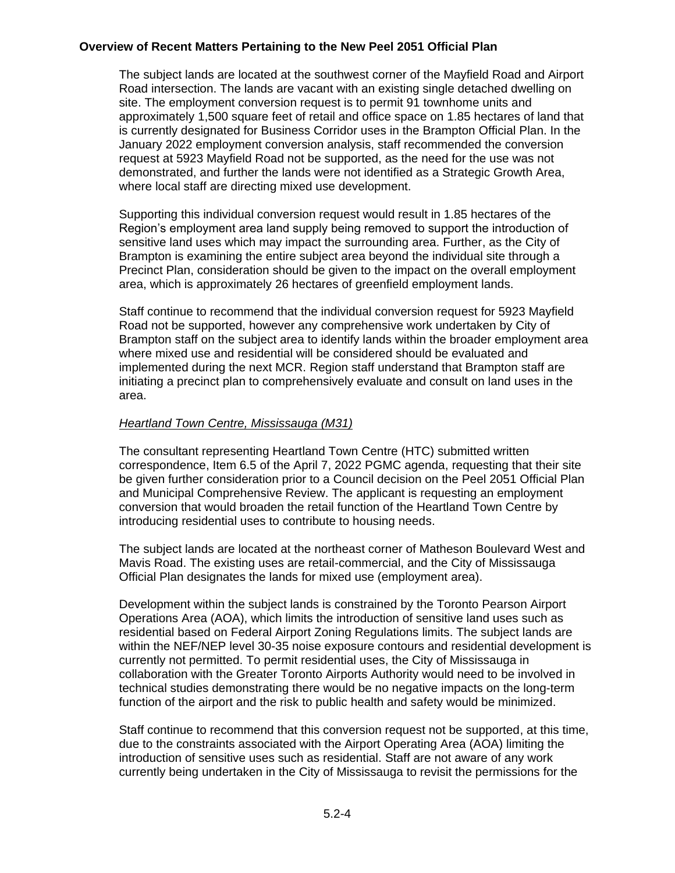The subject lands are located at the southwest corner of the Mayfield Road and Airport Road intersection. The lands are vacant with an existing single detached dwelling on site. The employment conversion request is to permit 91 townhome units and approximately 1,500 square feet of retail and office space on 1.85 hectares of land that is currently designated for Business Corridor uses in the Brampton Official Plan. In the January 2022 employment conversion analysis, staff recommended the conversion request at 5923 Mayfield Road not be supported, as the need for the use was not demonstrated, and further the lands were not identified as a Strategic Growth Area, where local staff are directing mixed use development.

Supporting this individual conversion request would result in 1.85 hectares of the Region's employment area land supply being removed to support the introduction of sensitive land uses which may impact the surrounding area. Further, as the City of Brampton is examining the entire subject area beyond the individual site through a Precinct Plan, consideration should be given to the impact on the overall employment area, which is approximately 26 hectares of greenfield employment lands.

Staff continue to recommend that the individual conversion request for 5923 Mayfield Road not be supported, however any comprehensive work undertaken by City of Brampton staff on the subject area to identify lands within the broader employment area where mixed use and residential will be considered should be evaluated and implemented during the next MCR. Region staff understand that Brampton staff are initiating a precinct plan to comprehensively evaluate and consult on land uses in the area.

# *Heartland Town Centre, Mississauga (M31)*

The consultant representing Heartland Town Centre (HTC) submitted written correspondence, Item 6.5 of the April 7, 2022 PGMC agenda, requesting that their site be given further consideration prior to a Council decision on the Peel 2051 Official Plan and Municipal Comprehensive Review. The applicant is requesting an employment conversion that would broaden the retail function of the Heartland Town Centre by introducing residential uses to contribute to housing needs.

The subject lands are located at the northeast corner of Matheson Boulevard West and Mavis Road. The existing uses are retail-commercial, and the City of Mississauga Official Plan designates the lands for mixed use (employment area).

Development within the subject lands is constrained by the Toronto Pearson Airport Operations Area (AOA), which limits the introduction of sensitive land uses such as residential based on Federal Airport Zoning Regulations limits. The subject lands are within the NEF/NEP level 30-35 noise exposure contours and residential development is currently not permitted. To permit residential uses, the City of Mississauga in collaboration with the Greater Toronto Airports Authority would need to be involved in technical studies demonstrating there would be no negative impacts on the long-term function of the airport and the risk to public health and safety would be minimized.

Staff continue to recommend that this conversion request not be supported, at this time, due to the constraints associated with the Airport Operating Area (AOA) limiting the introduction of sensitive uses such as residential. Staff are not aware of any work currently being undertaken in the City of Mississauga to revisit the permissions for the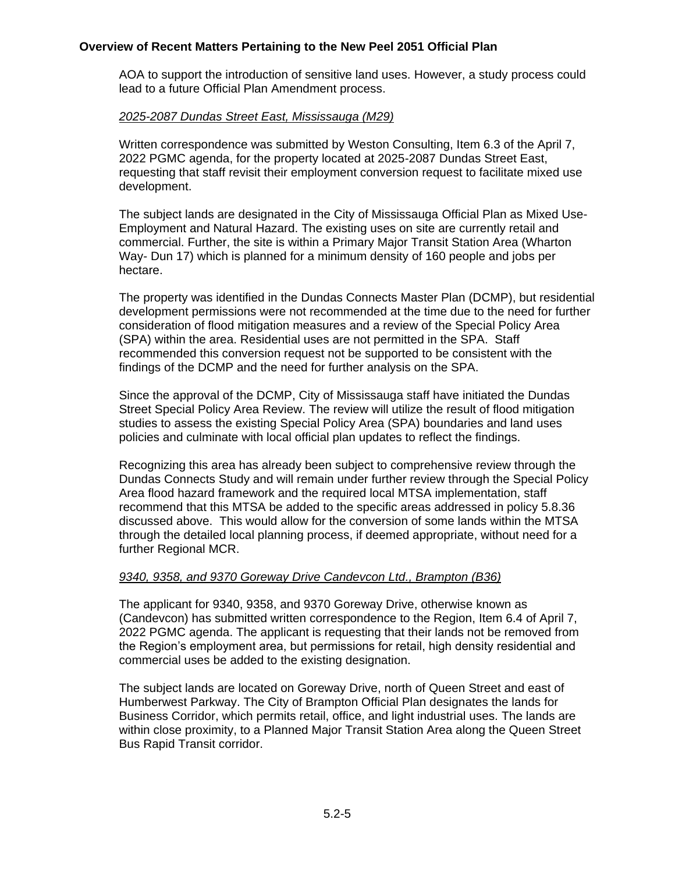AOA to support the introduction of sensitive land uses. However, a study process could lead to a future Official Plan Amendment process.

#### *2025-2087 Dundas Street East, Mississauga (M29)*

Written correspondence was submitted by Weston Consulting, Item 6.3 of the April 7, 2022 PGMC agenda, for the property located at 2025-2087 Dundas Street East, requesting that staff revisit their employment conversion request to facilitate mixed use development.

The subject lands are designated in the City of Mississauga Official Plan as Mixed Use-Employment and Natural Hazard. The existing uses on site are currently retail and commercial. Further, the site is within a Primary Major Transit Station Area (Wharton Way- Dun 17) which is planned for a minimum density of 160 people and jobs per hectare.

The property was identified in the Dundas Connects Master Plan (DCMP), but residential development permissions were not recommended at the time due to the need for further consideration of flood mitigation measures and a review of the Special Policy Area (SPA) within the area. Residential uses are not permitted in the SPA. Staff recommended this conversion request not be supported to be consistent with the findings of the DCMP and the need for further analysis on the SPA.

Since the approval of the DCMP, City of Mississauga staff have initiated the Dundas Street Special Policy Area Review. The review will utilize the result of flood mitigation studies to assess the existing Special Policy Area (SPA) boundaries and land uses policies and culminate with local official plan updates to reflect the findings.

Recognizing this area has already been subject to comprehensive review through the Dundas Connects Study and will remain under further review through the Special Policy Area flood hazard framework and the required local MTSA implementation, staff recommend that this MTSA be added to the specific areas addressed in policy 5.8.36 discussed above. This would allow for the conversion of some lands within the MTSA through the detailed local planning process, if deemed appropriate, without need for a further Regional MCR.

# *9340, 9358, and 9370 Goreway Drive Candevcon Ltd., Brampton (B36)*

The applicant for 9340, 9358, and 9370 Goreway Drive, otherwise known as (Candevcon) has submitted written correspondence to the Region, Item 6.4 of April 7, 2022 PGMC agenda. The applicant is requesting that their lands not be removed from the Region's employment area, but permissions for retail, high density residential and commercial uses be added to the existing designation.

The subject lands are located on Goreway Drive, north of Queen Street and east of Humberwest Parkway. The City of Brampton Official Plan designates the lands for Business Corridor, which permits retail, office, and light industrial uses. The lands are within close proximity, to a Planned Major Transit Station Area along the Queen Street Bus Rapid Transit corridor.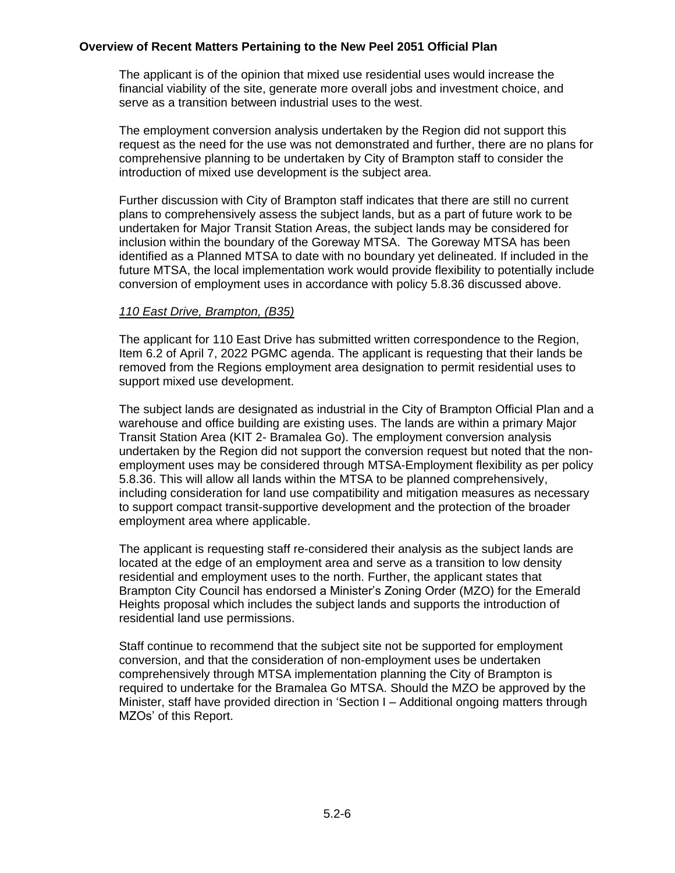The applicant is of the opinion that mixed use residential uses would increase the financial viability of the site, generate more overall jobs and investment choice, and serve as a transition between industrial uses to the west.

The employment conversion analysis undertaken by the Region did not support this request as the need for the use was not demonstrated and further, there are no plans for comprehensive planning to be undertaken by City of Brampton staff to consider the introduction of mixed use development is the subject area.

Further discussion with City of Brampton staff indicates that there are still no current plans to comprehensively assess the subject lands, but as a part of future work to be undertaken for Major Transit Station Areas, the subject lands may be considered for inclusion within the boundary of the Goreway MTSA. The Goreway MTSA has been identified as a Planned MTSA to date with no boundary yet delineated. If included in the future MTSA, the local implementation work would provide flexibility to potentially include conversion of employment uses in accordance with policy 5.8.36 discussed above.

#### *110 East Drive, Brampton, (B35)*

The applicant for 110 East Drive has submitted written correspondence to the Region, Item 6.2 of April 7, 2022 PGMC agenda. The applicant is requesting that their lands be removed from the Regions employment area designation to permit residential uses to support mixed use development.

The subject lands are designated as industrial in the City of Brampton Official Plan and a warehouse and office building are existing uses. The lands are within a primary Major Transit Station Area (KIT 2- Bramalea Go). The employment conversion analysis undertaken by the Region did not support the conversion request but noted that the nonemployment uses may be considered through MTSA-Employment flexibility as per policy 5.8.36. This will allow all lands within the MTSA to be planned comprehensively, including consideration for land use compatibility and mitigation measures as necessary to support compact transit-supportive development and the protection of the broader employment area where applicable.

The applicant is requesting staff re-considered their analysis as the subject lands are located at the edge of an employment area and serve as a transition to low density residential and employment uses to the north. Further, the applicant states that Brampton City Council has endorsed a Minister's Zoning Order (MZO) for the Emerald Heights proposal which includes the subject lands and supports the introduction of residential land use permissions.

Staff continue to recommend that the subject site not be supported for employment conversion, and that the consideration of non-employment uses be undertaken comprehensively through MTSA implementation planning the City of Brampton is required to undertake for the Bramalea Go MTSA. Should the MZO be approved by the Minister, staff have provided direction in 'Section I – Additional ongoing matters through MZOs' of this Report.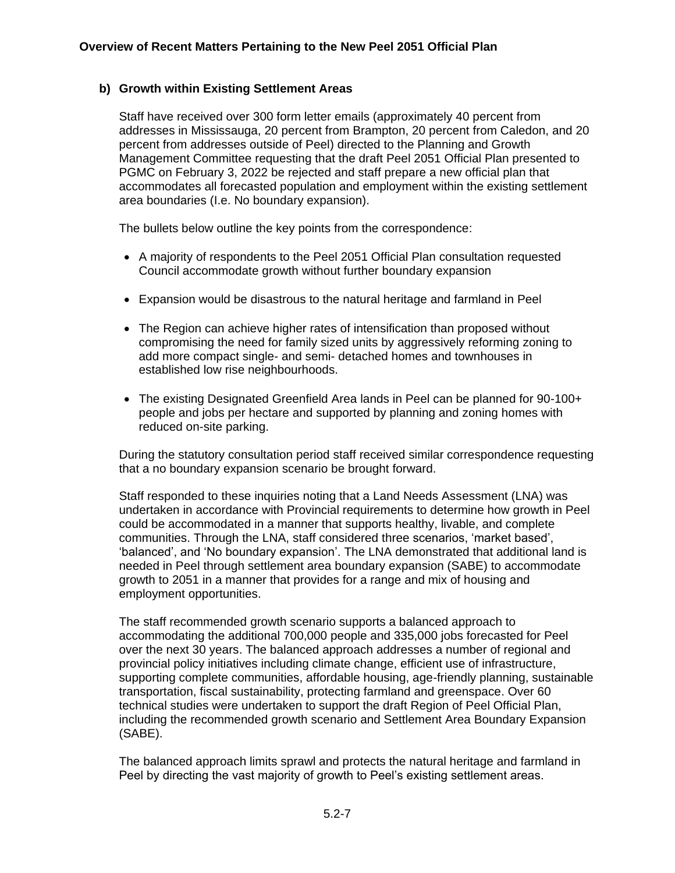# **b) Growth within Existing Settlement Areas**

Staff have received over 300 form letter emails (approximately 40 percent from addresses in Mississauga, 20 percent from Brampton, 20 percent from Caledon, and 20 percent from addresses outside of Peel) directed to the Planning and Growth Management Committee requesting that the draft Peel 2051 Official Plan presented to PGMC on February 3, 2022 be rejected and staff prepare a new official plan that accommodates all forecasted population and employment within the existing settlement area boundaries (I.e. No boundary expansion).

The bullets below outline the key points from the correspondence:

- A majority of respondents to the Peel 2051 Official Plan consultation requested Council accommodate growth without further boundary expansion
- Expansion would be disastrous to the natural heritage and farmland in Peel
- The Region can achieve higher rates of intensification than proposed without compromising the need for family sized units by aggressively reforming zoning to add more compact single- and semi- detached homes and townhouses in established low rise neighbourhoods.
- The existing Designated Greenfield Area lands in Peel can be planned for 90-100+ people and jobs per hectare and supported by planning and zoning homes with reduced on-site parking.

During the statutory consultation period staff received similar correspondence requesting that a no boundary expansion scenario be brought forward.

Staff responded to these inquiries noting that a Land Needs Assessment (LNA) was undertaken in accordance with Provincial requirements to determine how growth in Peel could be accommodated in a manner that supports healthy, livable, and complete communities. Through the LNA, staff considered three scenarios, 'market based', 'balanced', and 'No boundary expansion'. The LNA demonstrated that additional land is needed in Peel through settlement area boundary expansion (SABE) to accommodate growth to 2051 in a manner that provides for a range and mix of housing and employment opportunities.

The staff recommended growth scenario supports a balanced approach to accommodating the additional 700,000 people and 335,000 jobs forecasted for Peel over the next 30 years. The balanced approach addresses a number of regional and provincial policy initiatives including climate change, efficient use of infrastructure, supporting complete communities, affordable housing, age-friendly planning, sustainable transportation, fiscal sustainability, protecting farmland and greenspace. Over 60 technical studies were undertaken to support the draft Region of Peel Official Plan, including the recommended growth scenario and Settlement Area Boundary Expansion (SABE).

The balanced approach limits sprawl and protects the natural heritage and farmland in Peel by directing the vast majority of growth to Peel's existing settlement areas.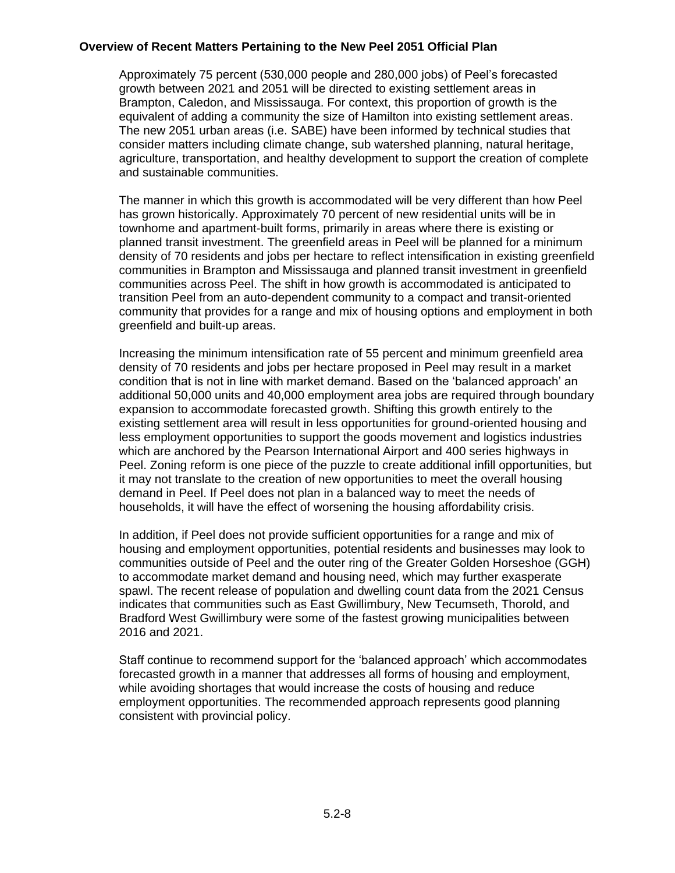Approximately 75 percent (530,000 people and 280,000 jobs) of Peel's forecasted growth between 2021 and 2051 will be directed to existing settlement areas in Brampton, Caledon, and Mississauga. For context, this proportion of growth is the equivalent of adding a community the size of Hamilton into existing settlement areas. The new 2051 urban areas (i.e. SABE) have been informed by technical studies that consider matters including climate change, sub watershed planning, natural heritage, agriculture, transportation, and healthy development to support the creation of complete and sustainable communities.

The manner in which this growth is accommodated will be very different than how Peel has grown historically. Approximately 70 percent of new residential units will be in townhome and apartment-built forms, primarily in areas where there is existing or planned transit investment. The greenfield areas in Peel will be planned for a minimum density of 70 residents and jobs per hectare to reflect intensification in existing greenfield communities in Brampton and Mississauga and planned transit investment in greenfield communities across Peel. The shift in how growth is accommodated is anticipated to transition Peel from an auto-dependent community to a compact and transit-oriented community that provides for a range and mix of housing options and employment in both greenfield and built-up areas.

Increasing the minimum intensification rate of 55 percent and minimum greenfield area density of 70 residents and jobs per hectare proposed in Peel may result in a market condition that is not in line with market demand. Based on the 'balanced approach' an additional 50,000 units and 40,000 employment area jobs are required through boundary expansion to accommodate forecasted growth. Shifting this growth entirely to the existing settlement area will result in less opportunities for ground-oriented housing and less employment opportunities to support the goods movement and logistics industries which are anchored by the Pearson International Airport and 400 series highways in Peel. Zoning reform is one piece of the puzzle to create additional infill opportunities, but it may not translate to the creation of new opportunities to meet the overall housing demand in Peel. If Peel does not plan in a balanced way to meet the needs of households, it will have the effect of worsening the housing affordability crisis.

In addition, if Peel does not provide sufficient opportunities for a range and mix of housing and employment opportunities, potential residents and businesses may look to communities outside of Peel and the outer ring of the Greater Golden Horseshoe (GGH) to accommodate market demand and housing need, which may further exasperate spawl. The recent release of population and dwelling count data from the 2021 Census indicates that communities such as East Gwillimbury, New Tecumseth, Thorold, and Bradford West Gwillimbury were some of the fastest growing municipalities between 2016 and 2021.

Staff continue to recommend support for the 'balanced approach' which accommodates forecasted growth in a manner that addresses all forms of housing and employment, while avoiding shortages that would increase the costs of housing and reduce employment opportunities. The recommended approach represents good planning consistent with provincial policy.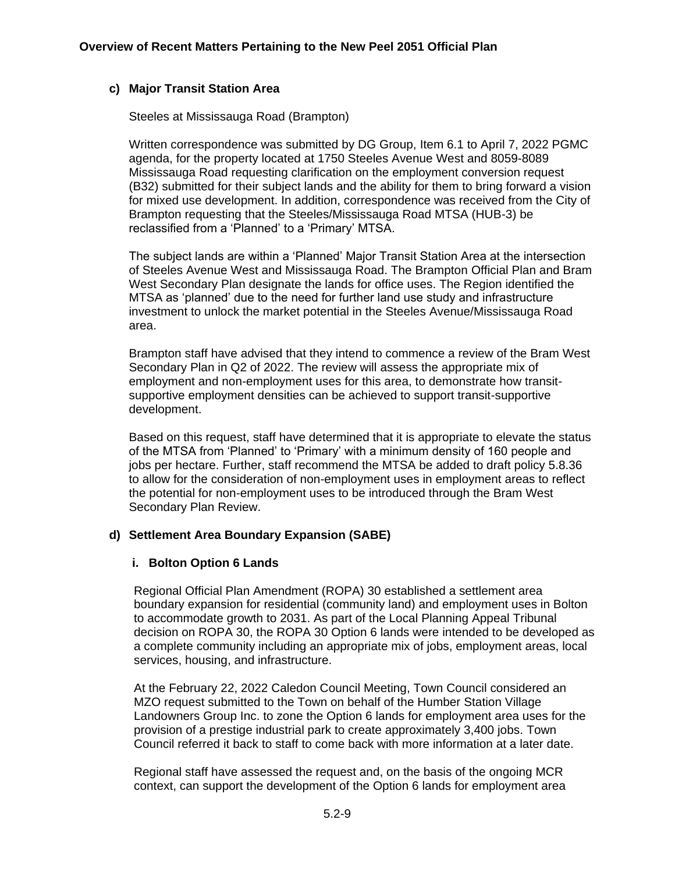# **c) Major Transit Station Area**

Steeles at Mississauga Road (Brampton)

Written correspondence was submitted by DG Group, Item 6.1 to April 7, 2022 PGMC agenda, for the property located at 1750 Steeles Avenue West and 8059-8089 Mississauga Road requesting clarification on the employment conversion request (B32) submitted for their subject lands and the ability for them to bring forward a vision for mixed use development. In addition, correspondence was received from the City of Brampton requesting that the Steeles/Mississauga Road MTSA (HUB-3) be reclassified from a 'Planned' to a 'Primary' MTSA.

The subject lands are within a 'Planned' Major Transit Station Area at the intersection of Steeles Avenue West and Mississauga Road. The Brampton Official Plan and Bram West Secondary Plan designate the lands for office uses. The Region identified the MTSA as 'planned' due to the need for further land use study and infrastructure investment to unlock the market potential in the Steeles Avenue/Mississauga Road area.

Brampton staff have advised that they intend to commence a review of the Bram West Secondary Plan in Q2 of 2022. The review will assess the appropriate mix of employment and non-employment uses for this area, to demonstrate how transitsupportive employment densities can be achieved to support transit-supportive development.

Based on this request, staff have determined that it is appropriate to elevate the status of the MTSA from 'Planned' to 'Primary' with a minimum density of 160 people and jobs per hectare. Further, staff recommend the MTSA be added to draft policy 5.8.36 to allow for the consideration of non-employment uses in employment areas to reflect the potential for non-employment uses to be introduced through the Bram West Secondary Plan Review.

# **d) Settlement Area Boundary Expansion (SABE)**

# **i. Bolton Option 6 Lands**

Regional Official Plan Amendment (ROPA) 30 established a settlement area boundary expansion for residential (community land) and employment uses in Bolton to accommodate growth to 2031. As part of the Local Planning Appeal Tribunal decision on ROPA 30, the ROPA 30 Option 6 lands were intended to be developed as a complete community including an appropriate mix of jobs, employment areas, local services, housing, and infrastructure.

At the February 22, 2022 Caledon Council Meeting, Town Council considered an MZO request submitted to the Town on behalf of the Humber Station Village Landowners Group Inc. to zone the Option 6 lands for employment area uses for the provision of a prestige industrial park to create approximately 3,400 jobs. Town Council referred it back to staff to come back with more information at a later date.

Regional staff have assessed the request and, on the basis of the ongoing MCR context, can support the development of the Option 6 lands for employment area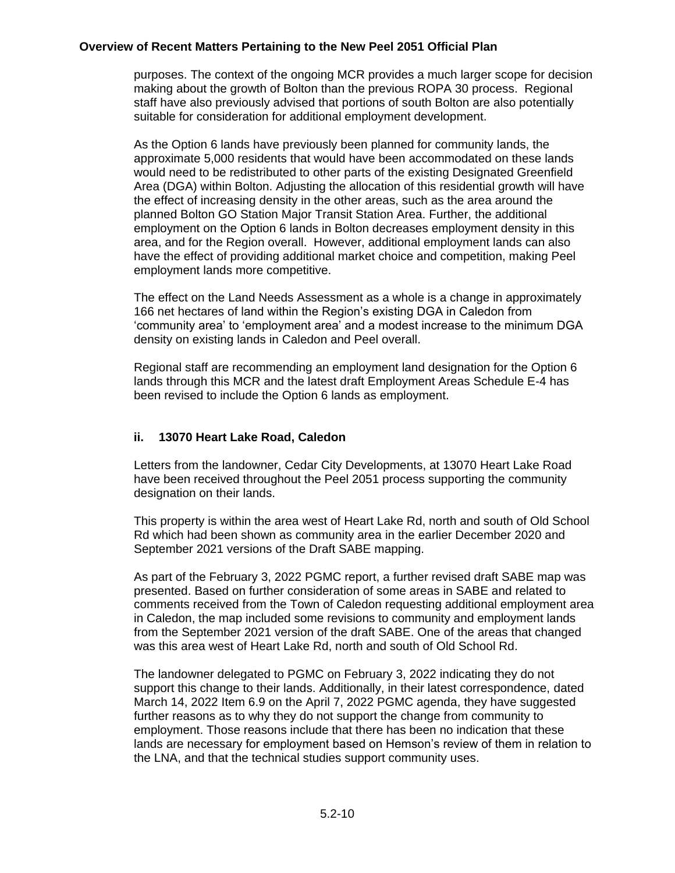purposes. The context of the ongoing MCR provides a much larger scope for decision making about the growth of Bolton than the previous ROPA 30 process. Regional staff have also previously advised that portions of south Bolton are also potentially suitable for consideration for additional employment development.

As the Option 6 lands have previously been planned for community lands, the approximate 5,000 residents that would have been accommodated on these lands would need to be redistributed to other parts of the existing Designated Greenfield Area (DGA) within Bolton. Adjusting the allocation of this residential growth will have the effect of increasing density in the other areas, such as the area around the planned Bolton GO Station Major Transit Station Area. Further, the additional employment on the Option 6 lands in Bolton decreases employment density in this area, and for the Region overall. However, additional employment lands can also have the effect of providing additional market choice and competition, making Peel employment lands more competitive.

The effect on the Land Needs Assessment as a whole is a change in approximately 166 net hectares of land within the Region's existing DGA in Caledon from 'community area' to 'employment area' and a modest increase to the minimum DGA density on existing lands in Caledon and Peel overall.

Regional staff are recommending an employment land designation for the Option 6 lands through this MCR and the latest draft Employment Areas Schedule E-4 has been revised to include the Option 6 lands as employment.

# **ii. 13070 Heart Lake Road, Caledon**

Letters from the landowner, Cedar City Developments, at 13070 Heart Lake Road have been received throughout the Peel 2051 process supporting the community designation on their lands.

This property is within the area west of Heart Lake Rd, north and south of Old School Rd which had been shown as community area in the earlier December 2020 and September 2021 versions of the Draft SABE mapping.

As part of the February 3, 2022 PGMC report, a further revised draft SABE map was presented. Based on further consideration of some areas in SABE and related to comments received from the Town of Caledon requesting additional employment area in Caledon, the map included some revisions to community and employment lands from the September 2021 version of the draft SABE. One of the areas that changed was this area west of Heart Lake Rd, north and south of Old School Rd.

The landowner delegated to PGMC on February 3, 2022 indicating they do not support this change to their lands. Additionally, in their latest correspondence, dated March 14, 2022 Item 6.9 on the April 7, 2022 PGMC agenda, they have suggested further reasons as to why they do not support the change from community to employment. Those reasons include that there has been no indication that these lands are necessary for employment based on Hemson's review of them in relation to the LNA, and that the technical studies support community uses.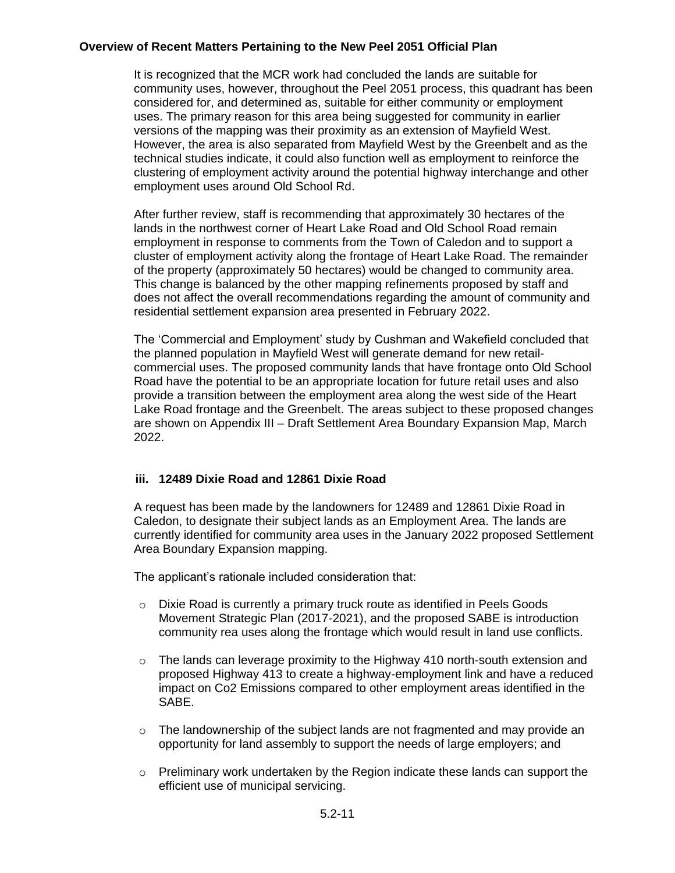It is recognized that the MCR work had concluded the lands are suitable for community uses, however, throughout the Peel 2051 process, this quadrant has been considered for, and determined as, suitable for either community or employment uses. The primary reason for this area being suggested for community in earlier versions of the mapping was their proximity as an extension of Mayfield West. However, the area is also separated from Mayfield West by the Greenbelt and as the technical studies indicate, it could also function well as employment to reinforce the clustering of employment activity around the potential highway interchange and other employment uses around Old School Rd.

After further review, staff is recommending that approximately 30 hectares of the lands in the northwest corner of Heart Lake Road and Old School Road remain employment in response to comments from the Town of Caledon and to support a cluster of employment activity along the frontage of Heart Lake Road. The remainder of the property (approximately 50 hectares) would be changed to community area. This change is balanced by the other mapping refinements proposed by staff and does not affect the overall recommendations regarding the amount of community and residential settlement expansion area presented in February 2022.

The 'Commercial and Employment' study by Cushman and Wakefield concluded that the planned population in Mayfield West will generate demand for new retailcommercial uses. The proposed community lands that have frontage onto Old School Road have the potential to be an appropriate location for future retail uses and also provide a transition between the employment area along the west side of the Heart Lake Road frontage and the Greenbelt. The areas subject to these proposed changes are shown on Appendix III – Draft Settlement Area Boundary Expansion Map, March 2022.

# **iii. 12489 Dixie Road and 12861 Dixie Road**

A request has been made by the landowners for 12489 and 12861 Dixie Road in Caledon, to designate their subject lands as an Employment Area. The lands are currently identified for community area uses in the January 2022 proposed Settlement Area Boundary Expansion mapping.

The applicant's rationale included consideration that:

- o Dixie Road is currently a primary truck route as identified in Peels Goods Movement Strategic Plan (2017-2021), and the proposed SABE is introduction community rea uses along the frontage which would result in land use conflicts.
- $\circ$  The lands can leverage proximity to the Highway 410 north-south extension and proposed Highway 413 to create a highway-employment link and have a reduced impact on Co2 Emissions compared to other employment areas identified in the SABE.
- $\circ$  The landownership of the subject lands are not fragmented and may provide an opportunity for land assembly to support the needs of large employers; and
- $\circ$  Preliminary work undertaken by the Region indicate these lands can support the efficient use of municipal servicing.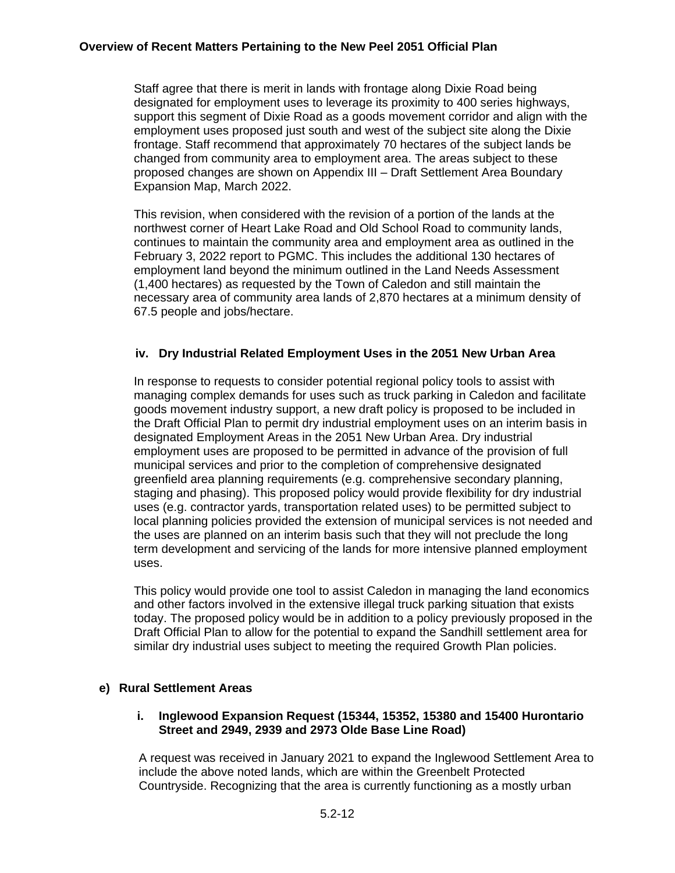Staff agree that there is merit in lands with frontage along Dixie Road being designated for employment uses to leverage its proximity to 400 series highways, support this segment of Dixie Road as a goods movement corridor and align with the employment uses proposed just south and west of the subject site along the Dixie frontage. Staff recommend that approximately 70 hectares of the subject lands be changed from community area to employment area. The areas subject to these proposed changes are shown on Appendix III – Draft Settlement Area Boundary Expansion Map, March 2022.

This revision, when considered with the revision of a portion of the lands at the northwest corner of Heart Lake Road and Old School Road to community lands, continues to maintain the community area and employment area as outlined in the February 3, 2022 report to PGMC. This includes the additional 130 hectares of employment land beyond the minimum outlined in the Land Needs Assessment (1,400 hectares) as requested by the Town of Caledon and still maintain the necessary area of community area lands of 2,870 hectares at a minimum density of 67.5 people and jobs/hectare.

# **iv. Dry Industrial Related Employment Uses in the 2051 New Urban Area**

In response to requests to consider potential regional policy tools to assist with managing complex demands for uses such as truck parking in Caledon and facilitate goods movement industry support, a new draft policy is proposed to be included in the Draft Official Plan to permit dry industrial employment uses on an interim basis in designated Employment Areas in the 2051 New Urban Area. Dry industrial employment uses are proposed to be permitted in advance of the provision of full municipal services and prior to the completion of comprehensive designated greenfield area planning requirements (e.g. comprehensive secondary planning, staging and phasing). This proposed policy would provide flexibility for dry industrial uses (e.g. contractor yards, transportation related uses) to be permitted subject to local planning policies provided the extension of municipal services is not needed and the uses are planned on an interim basis such that they will not preclude the long term development and servicing of the lands for more intensive planned employment uses.

This policy would provide one tool to assist Caledon in managing the land economics and other factors involved in the extensive illegal truck parking situation that exists today. The proposed policy would be in addition to a policy previously proposed in the Draft Official Plan to allow for the potential to expand the Sandhill settlement area for similar dry industrial uses subject to meeting the required Growth Plan policies.

#### **e) Rural Settlement Areas**

#### **i. Inglewood Expansion Request (15344, 15352, 15380 and 15400 Hurontario Street and 2949, 2939 and 2973 Olde Base Line Road)**

A request was received in January 2021 to expand the Inglewood Settlement Area to include the above noted lands, which are within the Greenbelt Protected Countryside. Recognizing that the area is currently functioning as a mostly urban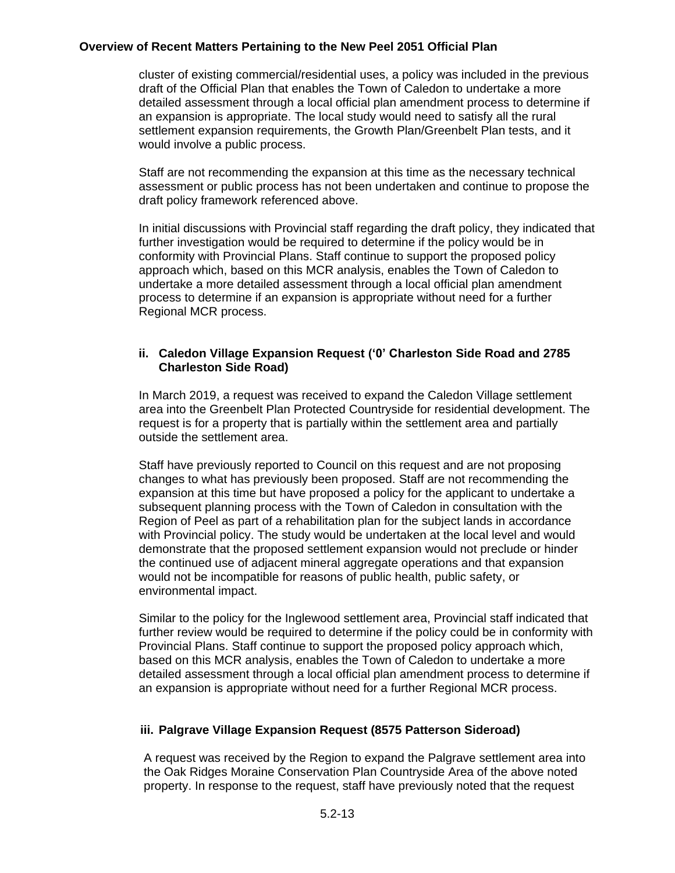cluster of existing commercial/residential uses, a policy was included in the previous draft of the Official Plan that enables the Town of Caledon to undertake a more detailed assessment through a local official plan amendment process to determine if an expansion is appropriate. The local study would need to satisfy all the rural settlement expansion requirements, the Growth Plan/Greenbelt Plan tests, and it would involve a public process.

Staff are not recommending the expansion at this time as the necessary technical assessment or public process has not been undertaken and continue to propose the draft policy framework referenced above.

In initial discussions with Provincial staff regarding the draft policy, they indicated that further investigation would be required to determine if the policy would be in conformity with Provincial Plans. Staff continue to support the proposed policy approach which, based on this MCR analysis, enables the Town of Caledon to undertake a more detailed assessment through a local official plan amendment process to determine if an expansion is appropriate without need for a further Regional MCR process.

# **ii. Caledon Village Expansion Request ('0' Charleston Side Road and 2785 Charleston Side Road)**

In March 2019, a request was received to expand the Caledon Village settlement area into the Greenbelt Plan Protected Countryside for residential development. The request is for a property that is partially within the settlement area and partially outside the settlement area.

Staff have previously reported to Council on this request and are not proposing changes to what has previously been proposed. Staff are not recommending the expansion at this time but have proposed a policy for the applicant to undertake a subsequent planning process with the Town of Caledon in consultation with the Region of Peel as part of a rehabilitation plan for the subject lands in accordance with Provincial policy. The study would be undertaken at the local level and would demonstrate that the proposed settlement expansion would not preclude or hinder the continued use of adjacent mineral aggregate operations and that expansion would not be incompatible for reasons of public health, public safety, or environmental impact.

Similar to the policy for the Inglewood settlement area, Provincial staff indicated that further review would be required to determine if the policy could be in conformity with Provincial Plans. Staff continue to support the proposed policy approach which, based on this MCR analysis, enables the Town of Caledon to undertake a more detailed assessment through a local official plan amendment process to determine if an expansion is appropriate without need for a further Regional MCR process.

# **iii. Palgrave Village Expansion Request (8575 Patterson Sideroad)**

A request was received by the Region to expand the Palgrave settlement area into the Oak Ridges Moraine Conservation Plan Countryside Area of the above noted property. In response to the request, staff have previously noted that the request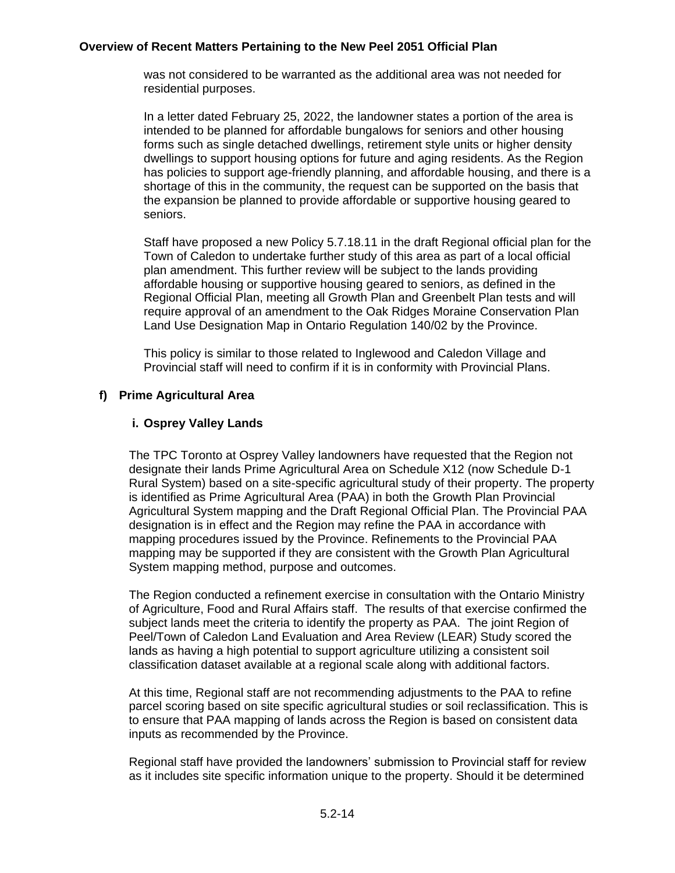was not considered to be warranted as the additional area was not needed for residential purposes.

In a letter dated February 25, 2022, the landowner states a portion of the area is intended to be planned for affordable bungalows for seniors and other housing forms such as single detached dwellings, retirement style units or higher density dwellings to support housing options for future and aging residents. As the Region has policies to support age-friendly planning, and affordable housing, and there is a shortage of this in the community, the request can be supported on the basis that the expansion be planned to provide affordable or supportive housing geared to seniors.

Staff have proposed a new Policy 5.7.18.11 in the draft Regional official plan for the Town of Caledon to undertake further study of this area as part of a local official plan amendment. This further review will be subject to the lands providing affordable housing or supportive housing geared to seniors, as defined in the Regional Official Plan, meeting all Growth Plan and Greenbelt Plan tests and will require approval of an amendment to the Oak Ridges Moraine Conservation Plan Land Use Designation Map in Ontario Regulation 140/02 by the Province.

This policy is similar to those related to Inglewood and Caledon Village and Provincial staff will need to confirm if it is in conformity with Provincial Plans.

# **f) Prime Agricultural Area**

# **i. Osprey Valley Lands**

The TPC Toronto at Osprey Valley landowners have requested that the Region not designate their lands Prime Agricultural Area on Schedule X12 (now Schedule D-1 Rural System) based on a site-specific agricultural study of their property. The property is identified as Prime Agricultural Area (PAA) in both the Growth Plan Provincial Agricultural System mapping and the Draft Regional Official Plan. The Provincial PAA designation is in effect and the Region may refine the PAA in accordance with mapping procedures issued by the Province. Refinements to the Provincial PAA mapping may be supported if they are consistent with the Growth Plan Agricultural System mapping method, purpose and outcomes.

The Region conducted a refinement exercise in consultation with the Ontario Ministry of Agriculture, Food and Rural Affairs staff. The results of that exercise confirmed the subject lands meet the criteria to identify the property as PAA. The joint Region of Peel/Town of Caledon Land Evaluation and Area Review (LEAR) Study scored the lands as having a high potential to support agriculture utilizing a consistent soil classification dataset available at a regional scale along with additional factors.

At this time, Regional staff are not recommending adjustments to the PAA to refine parcel scoring based on site specific agricultural studies or soil reclassification. This is to ensure that PAA mapping of lands across the Region is based on consistent data inputs as recommended by the Province.

Regional staff have provided the landowners' submission to Provincial staff for review as it includes site specific information unique to the property. Should it be determined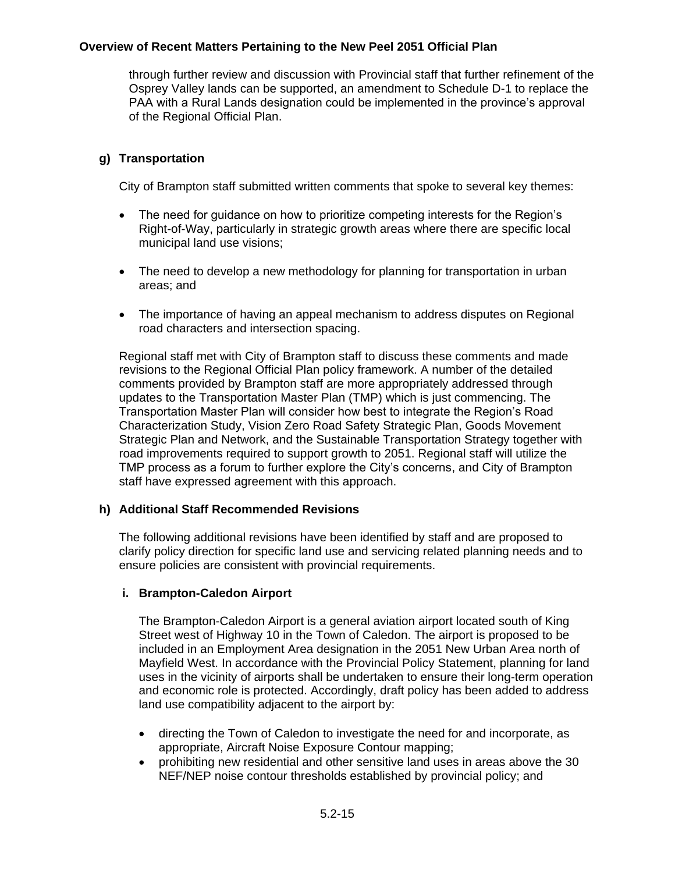through further review and discussion with Provincial staff that further refinement of the Osprey Valley lands can be supported, an amendment to Schedule D-1 to replace the PAA with a Rural Lands designation could be implemented in the province's approval of the Regional Official Plan.

# **g) Transportation**

City of Brampton staff submitted written comments that spoke to several key themes:

- The need for guidance on how to prioritize competing interests for the Region's Right-of-Way, particularly in strategic growth areas where there are specific local municipal land use visions;
- The need to develop a new methodology for planning for transportation in urban areas; and
- The importance of having an appeal mechanism to address disputes on Regional road characters and intersection spacing.

Regional staff met with City of Brampton staff to discuss these comments and made revisions to the Regional Official Plan policy framework. A number of the detailed comments provided by Brampton staff are more appropriately addressed through updates to the Transportation Master Plan (TMP) which is just commencing. The Transportation Master Plan will consider how best to integrate the Region's Road Characterization Study, Vision Zero Road Safety Strategic Plan, Goods Movement Strategic Plan and Network, and the Sustainable Transportation Strategy together with road improvements required to support growth to 2051. Regional staff will utilize the TMP process as a forum to further explore the City's concerns, and City of Brampton staff have expressed agreement with this approach.

# **h) Additional Staff Recommended Revisions**

The following additional revisions have been identified by staff and are proposed to clarify policy direction for specific land use and servicing related planning needs and to ensure policies are consistent with provincial requirements.

# **i. Brampton-Caledon Airport**

The Brampton-Caledon Airport is a general aviation airport located south of King Street west of Highway 10 in the Town of Caledon. The airport is proposed to be included in an Employment Area designation in the 2051 New Urban Area north of Mayfield West. In accordance with the Provincial Policy Statement, planning for land uses in the vicinity of airports shall be undertaken to ensure their long-term operation and economic role is protected. Accordingly, draft policy has been added to address land use compatibility adjacent to the airport by:

- directing the Town of Caledon to investigate the need for and incorporate, as appropriate, Aircraft Noise Exposure Contour mapping;
- prohibiting new residential and other sensitive land uses in areas above the 30 NEF/NEP noise contour thresholds established by provincial policy; and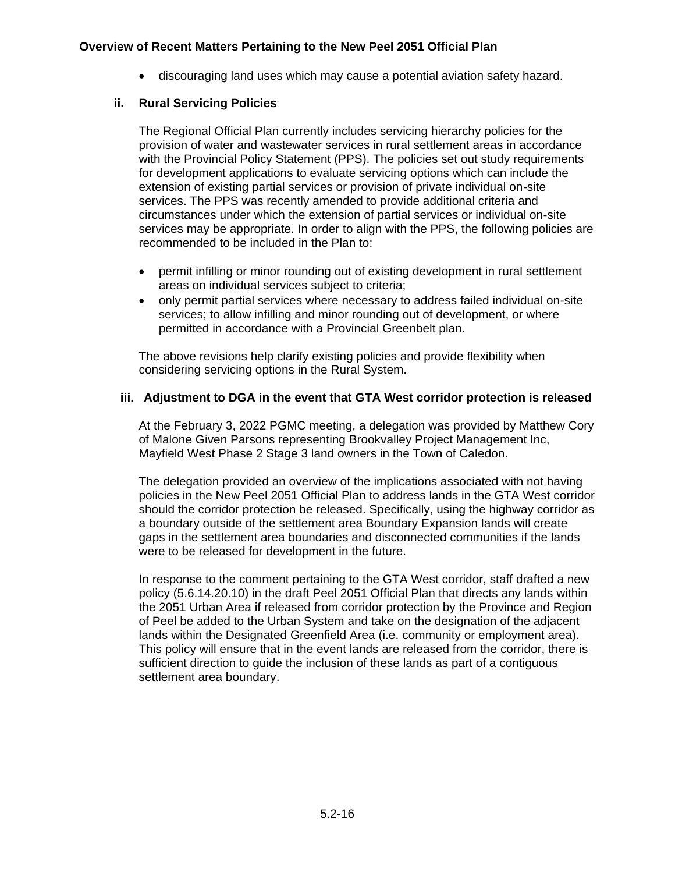• discouraging land uses which may cause a potential aviation safety hazard.

# **ii. Rural Servicing Policies**

The Regional Official Plan currently includes servicing hierarchy policies for the provision of water and wastewater services in rural settlement areas in accordance with the Provincial Policy Statement (PPS). The policies set out study requirements for development applications to evaluate servicing options which can include the extension of existing partial services or provision of private individual on-site services. The PPS was recently amended to provide additional criteria and circumstances under which the extension of partial services or individual on-site services may be appropriate. In order to align with the PPS, the following policies are recommended to be included in the Plan to:

- permit infilling or minor rounding out of existing development in rural settlement areas on individual services subject to criteria;
- only permit partial services where necessary to address failed individual on-site services; to allow infilling and minor rounding out of development, or where permitted in accordance with a Provincial Greenbelt plan.

The above revisions help clarify existing policies and provide flexibility when considering servicing options in the Rural System.

# **iii. Adjustment to DGA in the event that GTA West corridor protection is released**

At the February 3, 2022 PGMC meeting, a delegation was provided by Matthew Cory of Malone Given Parsons representing Brookvalley Project Management Inc, Mayfield West Phase 2 Stage 3 land owners in the Town of Caledon.

The delegation provided an overview of the implications associated with not having policies in the New Peel 2051 Official Plan to address lands in the GTA West corridor should the corridor protection be released. Specifically, using the highway corridor as a boundary outside of the settlement area Boundary Expansion lands will create gaps in the settlement area boundaries and disconnected communities if the lands were to be released for development in the future.

In response to the comment pertaining to the GTA West corridor, staff drafted a new policy (5.6.14.20.10) in the draft Peel 2051 Official Plan that directs any lands within the 2051 Urban Area if released from corridor protection by the Province and Region of Peel be added to the Urban System and take on the designation of the adjacent lands within the Designated Greenfield Area (i.e. community or employment area). This policy will ensure that in the event lands are released from the corridor, there is sufficient direction to guide the inclusion of these lands as part of a contiguous settlement area boundary.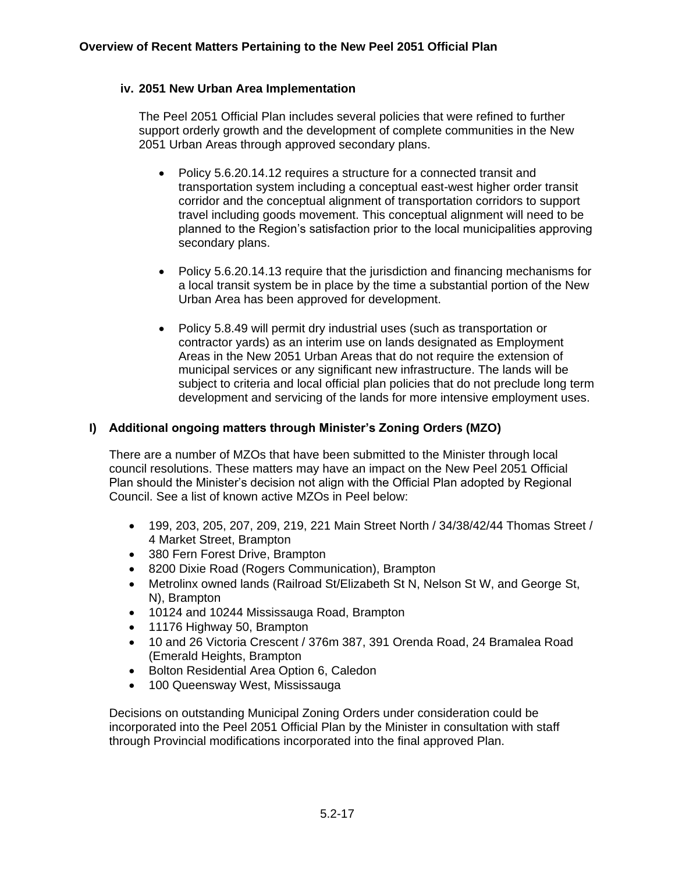# **iv. 2051 New Urban Area Implementation**

The Peel 2051 Official Plan includes several policies that were refined to further support orderly growth and the development of complete communities in the New 2051 Urban Areas through approved secondary plans.

- Policy 5.6.20.14.12 requires a structure for a connected transit and transportation system including a conceptual east-west higher order transit corridor and the conceptual alignment of transportation corridors to support travel including goods movement. This conceptual alignment will need to be planned to the Region's satisfaction prior to the local municipalities approving secondary plans.
- Policy 5.6.20.14.13 require that the jurisdiction and financing mechanisms for a local transit system be in place by the time a substantial portion of the New Urban Area has been approved for development.
- Policy 5.8.49 will permit dry industrial uses (such as transportation or contractor yards) as an interim use on lands designated as Employment Areas in the New 2051 Urban Areas that do not require the extension of municipal services or any significant new infrastructure. The lands will be subject to criteria and local official plan policies that do not preclude long term development and servicing of the lands for more intensive employment uses.

# **I) Additional ongoing matters through Minister's Zoning Orders (MZO)**

There are a number of MZOs that have been submitted to the Minister through local council resolutions. These matters may have an impact on the New Peel 2051 Official Plan should the Minister's decision not align with the Official Plan adopted by Regional Council. See a list of known active MZOs in Peel below:

- 199, 203, 205, 207, 209, 219, 221 Main Street North / 34/38/42/44 Thomas Street / 4 Market Street, Brampton
- 380 Fern Forest Drive, Brampton
- 8200 Dixie Road (Rogers Communication), Brampton
- Metrolinx owned lands (Railroad St/Elizabeth St N, Nelson St W, and George St, N), Brampton
- 10124 and 10244 Mississauga Road, Brampton
- 11176 Highway 50, Brampton
- 10 and 26 Victoria Crescent / 376m 387, 391 Orenda Road, 24 Bramalea Road (Emerald Heights, Brampton
- Bolton Residential Area Option 6, Caledon
- 100 Queensway West, Mississauga

Decisions on outstanding Municipal Zoning Orders under consideration could be incorporated into the Peel 2051 Official Plan by the Minister in consultation with staff through Provincial modifications incorporated into the final approved Plan.